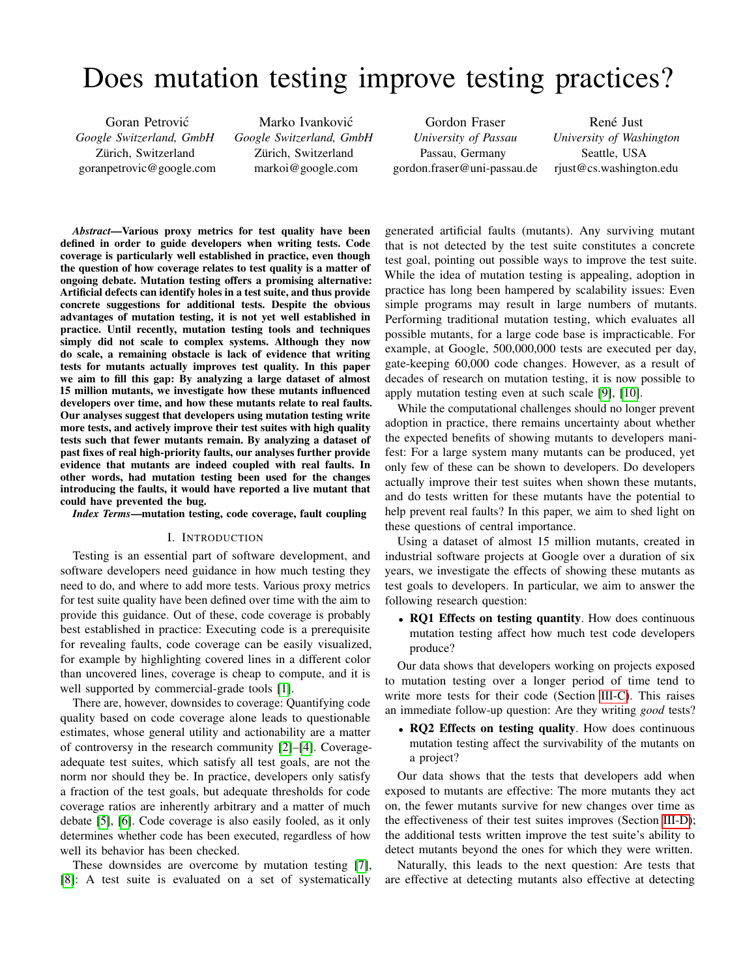# Does mutation testing improve testing practices?

Goran Petrović *Google Switzerland, GmbH* Zürich, Switzerland goranpetrovic@google.com

Marko Ivankovic´ *Google Switzerland, GmbH* Zürich, Switzerland markoi@google.com

Gordon Fraser *University of Passau* Passau, Germany gordon.fraser@uni-passau.de

René Just *University of Washington* Seattle, USA rjust@cs.washington.edu

*Abstract*—Various proxy metrics for test quality have been defined in order to guide developers when writing tests. Code coverage is particularly well established in practice, even though the question of how coverage relates to test quality is a matter of ongoing debate. Mutation testing offers a promising alternative: Artificial defects can identify holes in a test suite, and thus provide concrete suggestions for additional tests. Despite the obvious advantages of mutation testing, it is not yet well established in practice. Until recently, mutation testing tools and techniques simply did not scale to complex systems. Although they now do scale, a remaining obstacle is lack of evidence that writing tests for mutants actually improves test quality. In this paper we aim to fill this gap: By analyzing a large dataset of almost 15 million mutants, we investigate how these mutants influenced developers over time, and how these mutants relate to real faults. Our analyses suggest that developers using mutation testing write more tests, and actively improve their test suites with high quality tests such that fewer mutants remain. By analyzing a dataset of past fixes of real high-priority faults, our analyses further provide evidence that mutants are indeed coupled with real faults. In other words, had mutation testing been used for the changes introducing the faults, it would have reported a live mutant that could have prevented the bug.

*Index Terms*—mutation testing, code coverage, fault coupling

#### I. INTRODUCTION

Testing is an essential part of software development, and software developers need guidance in how much testing they need to do, and where to add more tests. Various proxy metrics for test suite quality have been defined over time with the aim to provide this guidance. Out of these, code coverage is probably best established in practice: Executing code is a prerequisite for revealing faults, code coverage can be easily visualized, for example by highlighting covered lines in a different color than uncovered lines, coverage is cheap to compute, and it is well supported by commercial-grade tools [\[1\]](#page-11-0).

There are, however, downsides to coverage: Quantifying code quality based on code coverage alone leads to questionable estimates, whose general utility and actionability are a matter of controversy in the research community [\[2\]](#page-11-1)–[\[4\]](#page-11-2). Coverageadequate test suites, which satisfy all test goals, are not the norm nor should they be. In practice, developers only satisfy a fraction of the test goals, but adequate thresholds for code coverage ratios are inherently arbitrary and a matter of much debate [\[5\]](#page-11-3), [\[6\]](#page-11-4). Code coverage is also easily fooled, as it only determines whether code has been executed, regardless of how well its behavior has been checked.

These downsides are overcome by mutation testing [\[7\]](#page-11-5), [\[8\]](#page-11-6): A test suite is evaluated on a set of systematically generated artificial faults (mutants). Any surviving mutant that is not detected by the test suite constitutes a concrete test goal, pointing out possible ways to improve the test suite. While the idea of mutation testing is appealing, adoption in practice has long been hampered by scalability issues: Even simple programs may result in large numbers of mutants. Performing traditional mutation testing, which evaluates all possible mutants, for a large code base is impracticable. For example, at Google, 500,000,000 tests are executed per day, gate-keeping 60,000 code changes. However, as a result of decades of research on mutation testing, it is now possible to apply mutation testing even at such scale [\[9\]](#page-11-7), [\[10\]](#page-11-8).

While the computational challenges should no longer prevent adoption in practice, there remains uncertainty about whether the expected benefits of showing mutants to developers manifest: For a large system many mutants can be produced, yet only few of these can be shown to developers. Do developers actually improve their test suites when shown these mutants, and do tests written for these mutants have the potential to help prevent real faults? In this paper, we aim to shed light on these questions of central importance.

Using a dataset of almost 15 million mutants, created in industrial software projects at Google over a duration of six years, we investigate the effects of showing these mutants as test goals to developers. In particular, we aim to answer the following research question:

• RQ1 Effects on testing quantity. How does continuous mutation testing affect how much test code developers produce?

Our data shows that developers working on projects exposed to mutation testing over a longer period of time tend to write more tests for their code (Section [III-C\)](#page-3-0). This raises an immediate follow-up question: Are they writing *good* tests?

• RQ2 Effects on testing quality. How does continuous mutation testing affect the survivability of the mutants on a project?

Our data shows that the tests that developers add when exposed to mutants are effective: The more mutants they act on, the fewer mutants survive for new changes over time as the effectiveness of their test suites improves (Section [III-D\)](#page-4-0); the additional tests written improve the test suite's ability to detect mutants beyond the ones for which they were written.

Naturally, this leads to the next question: Are tests that are effective at detecting mutants also effective at detecting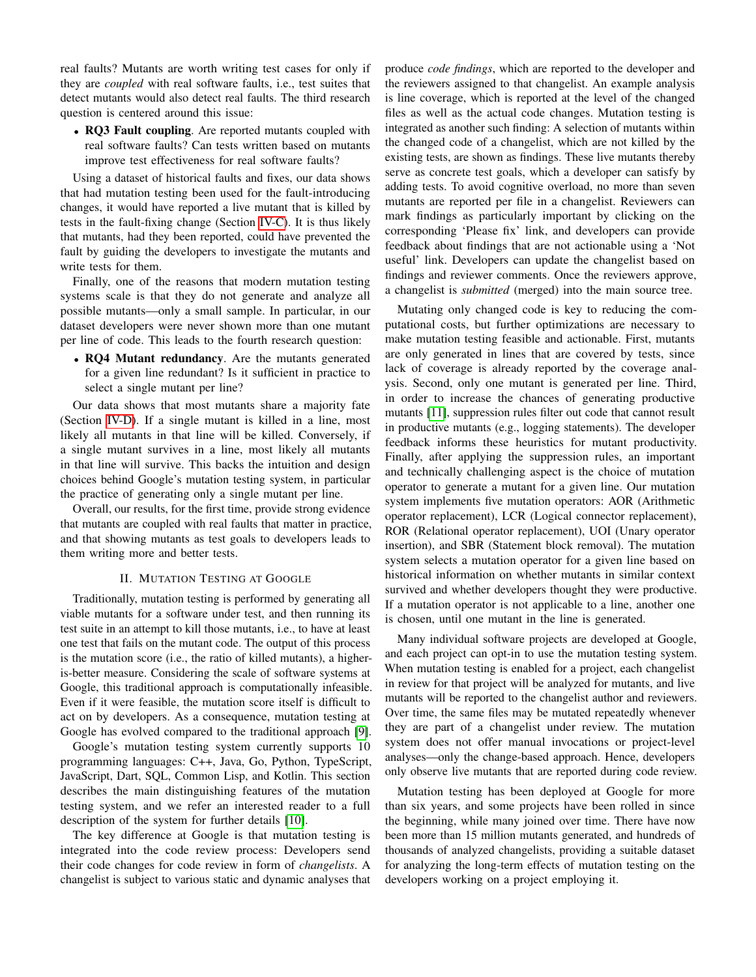real faults? Mutants are worth writing test cases for only if they are *coupled* with real software faults, i.e., test suites that detect mutants would also detect real faults. The third research question is centered around this issue:

• RQ3 Fault coupling. Are reported mutants coupled with real software faults? Can tests written based on mutants improve test effectiveness for real software faults?

Using a dataset of historical faults and fixes, our data shows that had mutation testing been used for the fault-introducing changes, it would have reported a live mutant that is killed by tests in the fault-fixing change (Section [IV-C\)](#page-7-0). It is thus likely that mutants, had they been reported, could have prevented the fault by guiding the developers to investigate the mutants and write tests for them.

Finally, one of the reasons that modern mutation testing systems scale is that they do not generate and analyze all possible mutants—only a small sample. In particular, in our dataset developers were never shown more than one mutant per line of code. This leads to the fourth research question:

• RQ4 Mutant redundancy. Are the mutants generated for a given line redundant? Is it sufficient in practice to select a single mutant per line?

Our data shows that most mutants share a majority fate (Section [IV-D\)](#page-8-0). If a single mutant is killed in a line, most likely all mutants in that line will be killed. Conversely, if a single mutant survives in a line, most likely all mutants in that line will survive. This backs the intuition and design choices behind Google's mutation testing system, in particular the practice of generating only a single mutant per line.

Overall, our results, for the first time, provide strong evidence that mutants are coupled with real faults that matter in practice, and that showing mutants as test goals to developers leads to them writing more and better tests.

#### II. MUTATION TESTING AT GOOGLE

Traditionally, mutation testing is performed by generating all viable mutants for a software under test, and then running its test suite in an attempt to kill those mutants, i.e., to have at least one test that fails on the mutant code. The output of this process is the mutation score (i.e., the ratio of killed mutants), a higheris-better measure. Considering the scale of software systems at Google, this traditional approach is computationally infeasible. Even if it were feasible, the mutation score itself is difficult to act on by developers. As a consequence, mutation testing at Google has evolved compared to the traditional approach [\[9\]](#page-11-7).

Google's mutation testing system currently supports 10 programming languages: C++, Java, Go, Python, TypeScript, JavaScript, Dart, SQL, Common Lisp, and Kotlin. This section describes the main distinguishing features of the mutation testing system, and we refer an interested reader to a full description of the system for further details [\[10\]](#page-11-8).

The key difference at Google is that mutation testing is integrated into the code review process: Developers send their code changes for code review in form of *changelists*. A changelist is subject to various static and dynamic analyses that produce *code findings*, which are reported to the developer and the reviewers assigned to that changelist. An example analysis is line coverage, which is reported at the level of the changed files as well as the actual code changes. Mutation testing is integrated as another such finding: A selection of mutants within the changed code of a changelist, which are not killed by the existing tests, are shown as findings. These live mutants thereby serve as concrete test goals, which a developer can satisfy by adding tests. To avoid cognitive overload, no more than seven mutants are reported per file in a changelist. Reviewers can mark findings as particularly important by clicking on the corresponding 'Please fix' link, and developers can provide feedback about findings that are not actionable using a 'Not useful' link. Developers can update the changelist based on findings and reviewer comments. Once the reviewers approve, a changelist is *submitted* (merged) into the main source tree.

Mutating only changed code is key to reducing the computational costs, but further optimizations are necessary to make mutation testing feasible and actionable. First, mutants are only generated in lines that are covered by tests, since lack of coverage is already reported by the coverage analysis. Second, only one mutant is generated per line. Third, in order to increase the chances of generating productive mutants [\[11\]](#page-11-9), suppression rules filter out code that cannot result in productive mutants (e.g., logging statements). The developer feedback informs these heuristics for mutant productivity. Finally, after applying the suppression rules, an important and technically challenging aspect is the choice of mutation operator to generate a mutant for a given line. Our mutation system implements five mutation operators: AOR (Arithmetic operator replacement), LCR (Logical connector replacement), ROR (Relational operator replacement), UOI (Unary operator insertion), and SBR (Statement block removal). The mutation system selects a mutation operator for a given line based on historical information on whether mutants in similar context survived and whether developers thought they were productive. If a mutation operator is not applicable to a line, another one is chosen, until one mutant in the line is generated.

Many individual software projects are developed at Google, and each project can opt-in to use the mutation testing system. When mutation testing is enabled for a project, each changelist in review for that project will be analyzed for mutants, and live mutants will be reported to the changelist author and reviewers. Over time, the same files may be mutated repeatedly whenever they are part of a changelist under review. The mutation system does not offer manual invocations or project-level analyses—only the change-based approach. Hence, developers only observe live mutants that are reported during code review.

Mutation testing has been deployed at Google for more than six years, and some projects have been rolled in since the beginning, while many joined over time. There have now been more than 15 million mutants generated, and hundreds of thousands of analyzed changelists, providing a suitable dataset for analyzing the long-term effects of mutation testing on the developers working on a project employing it.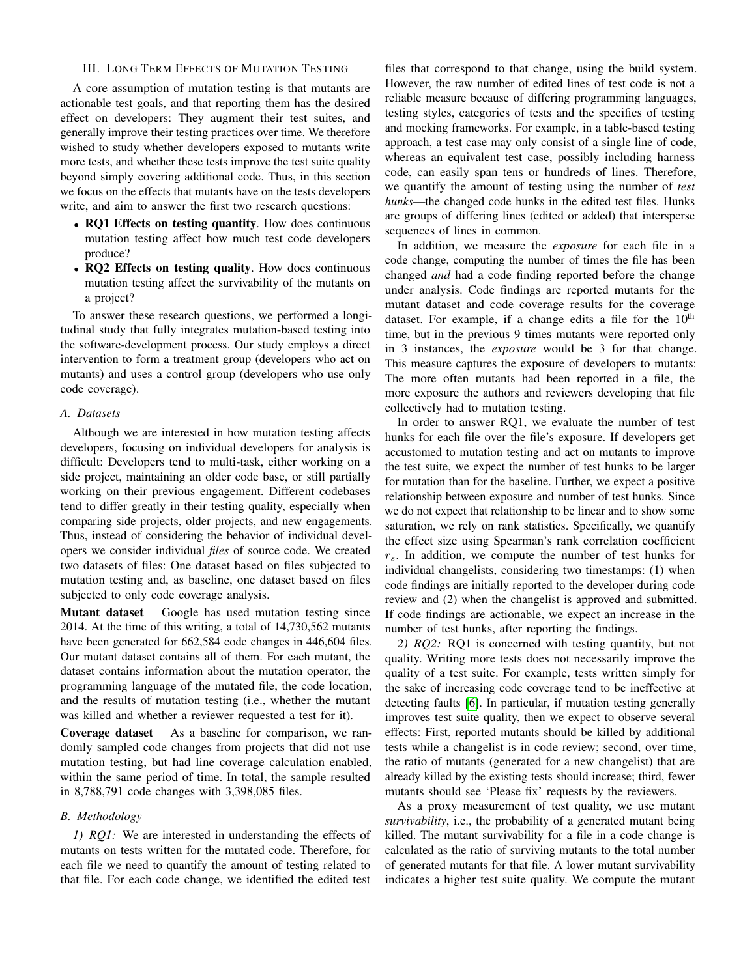# <span id="page-2-0"></span>III. LONG TERM EFFECTS OF MUTATION TESTING

A core assumption of mutation testing is that mutants are actionable test goals, and that reporting them has the desired effect on developers: They augment their test suites, and generally improve their testing practices over time. We therefore wished to study whether developers exposed to mutants write more tests, and whether these tests improve the test suite quality beyond simply covering additional code. Thus, in this section we focus on the effects that mutants have on the tests developers write, and aim to answer the first two research questions:

- RQ1 Effects on testing quantity. How does continuous mutation testing affect how much test code developers produce?
- RQ2 Effects on testing quality. How does continuous mutation testing affect the survivability of the mutants on a project?

To answer these research questions, we performed a longitudinal study that fully integrates mutation-based testing into the software-development process. Our study employs a direct intervention to form a treatment group (developers who act on mutants) and uses a control group (developers who use only code coverage).

# *A. Datasets*

Although we are interested in how mutation testing affects developers, focusing on individual developers for analysis is difficult: Developers tend to multi-task, either working on a side project, maintaining an older code base, or still partially working on their previous engagement. Different codebases tend to differ greatly in their testing quality, especially when comparing side projects, older projects, and new engagements. Thus, instead of considering the behavior of individual developers we consider individual *files* of source code. We created two datasets of files: One dataset based on files subjected to mutation testing and, as baseline, one dataset based on files subjected to only code coverage analysis.

Mutant dataset Google has used mutation testing since 2014. At the time of this writing, a total of 14,730,562 mutants have been generated for 662,584 code changes in 446,604 files. Our mutant dataset contains all of them. For each mutant, the dataset contains information about the mutation operator, the programming language of the mutated file, the code location, and the results of mutation testing (i.e., whether the mutant was killed and whether a reviewer requested a test for it).

Coverage dataset As a baseline for comparison, we randomly sampled code changes from projects that did not use mutation testing, but had line coverage calculation enabled, within the same period of time. In total, the sample resulted in 8,788,791 code changes with 3,398,085 files.

## *B. Methodology*

*1) RQ1:* We are interested in understanding the effects of mutants on tests written for the mutated code. Therefore, for each file we need to quantify the amount of testing related to that file. For each code change, we identified the edited test

files that correspond to that change, using the build system. However, the raw number of edited lines of test code is not a reliable measure because of differing programming languages, testing styles, categories of tests and the specifics of testing and mocking frameworks. For example, in a table-based testing approach, a test case may only consist of a single line of code, whereas an equivalent test case, possibly including harness code, can easily span tens or hundreds of lines. Therefore, we quantify the amount of testing using the number of *test hunks*—the changed code hunks in the edited test files. Hunks are groups of differing lines (edited or added) that intersperse sequences of lines in common.

In addition, we measure the *exposure* for each file in a code change, computing the number of times the file has been changed *and* had a code finding reported before the change under analysis. Code findings are reported mutants for the mutant dataset and code coverage results for the coverage dataset. For example, if a change edits a file for the 10<sup>th</sup> time, but in the previous 9 times mutants were reported only in 3 instances, the *exposure* would be 3 for that change. This measure captures the exposure of developers to mutants: The more often mutants had been reported in a file, the more exposure the authors and reviewers developing that file collectively had to mutation testing.

In order to answer RQ1, we evaluate the number of test hunks for each file over the file's exposure. If developers get accustomed to mutation testing and act on mutants to improve the test suite, we expect the number of test hunks to be larger for mutation than for the baseline. Further, we expect a positive relationship between exposure and number of test hunks. Since we do not expect that relationship to be linear and to show some saturation, we rely on rank statistics. Specifically, we quantify the effect size using Spearman's rank correlation coefficient  $r<sub>s</sub>$ . In addition, we compute the number of test hunks for individual changelists, considering two timestamps: (1) when code findings are initially reported to the developer during code review and (2) when the changelist is approved and submitted. If code findings are actionable, we expect an increase in the number of test hunks, after reporting the findings.

*2) RQ2:* RQ1 is concerned with testing quantity, but not quality. Writing more tests does not necessarily improve the quality of a test suite. For example, tests written simply for the sake of increasing code coverage tend to be ineffective at detecting faults [\[6\]](#page-11-4). In particular, if mutation testing generally improves test suite quality, then we expect to observe several effects: First, reported mutants should be killed by additional tests while a changelist is in code review; second, over time, the ratio of mutants (generated for a new changelist) that are already killed by the existing tests should increase; third, fewer mutants should see 'Please fix' requests by the reviewers.

As a proxy measurement of test quality, we use mutant *survivability*, i.e., the probability of a generated mutant being killed. The mutant survivability for a file in a code change is calculated as the ratio of surviving mutants to the total number of generated mutants for that file. A lower mutant survivability indicates a higher test suite quality. We compute the mutant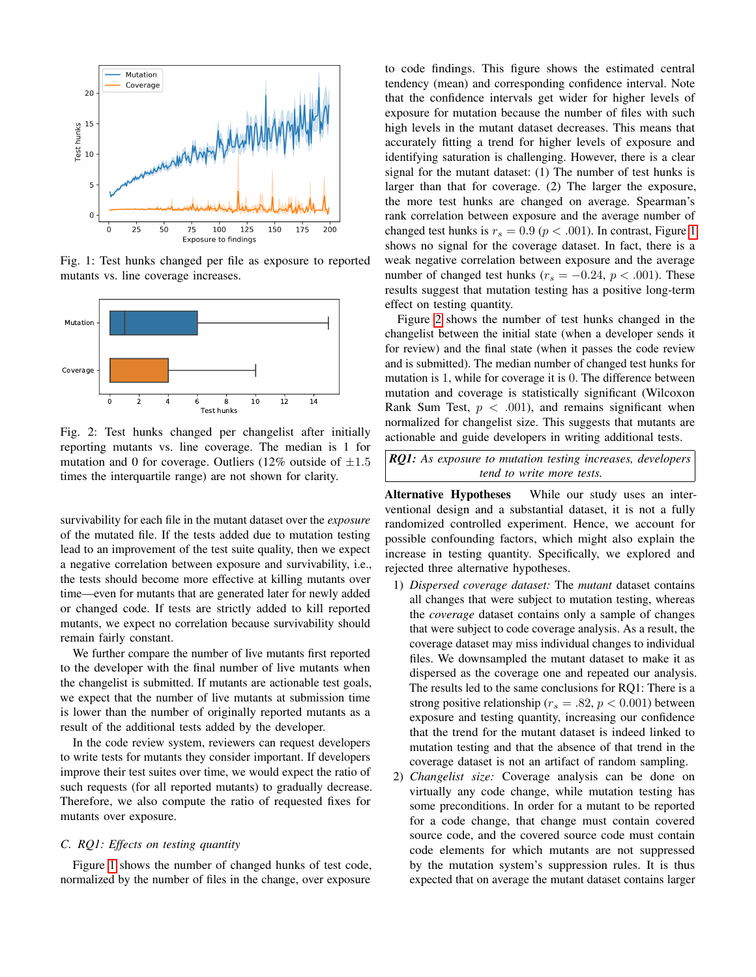<span id="page-3-1"></span>

Fig. 1: Test hunks changed per file as exposure to reported mutants vs. line coverage increases.



Fig. 2: Test hunks changed per changelist after initially reporting mutants vs. line coverage. The median is 1 for mutation and 0 for coverage. Outliers (12% outside of  $\pm 1.5$ ) times the interquartile range) are not shown for clarity.

survivability for each file in the mutant dataset over the *exposure* of the mutated file. If the tests added due to mutation testing lead to an improvement of the test suite quality, then we expect a negative correlation between exposure and survivability, i.e., the tests should become more effective at killing mutants over time—even for mutants that are generated later for newly added or changed code. If tests are strictly added to kill reported mutants, we expect no correlation because survivability should remain fairly constant.

We further compare the number of live mutants first reported to the developer with the final number of live mutants when the changelist is submitted. If mutants are actionable test goals, we expect that the number of live mutants at submission time is lower than the number of originally reported mutants as a result of the additional tests added by the developer.

In the code review system, reviewers can request developers to write tests for mutants they consider important. If developers improve their test suites over time, we would expect the ratio of such requests (for all reported mutants) to gradually decrease. Therefore, we also compute the ratio of requested fixes for mutants over exposure.

## <span id="page-3-0"></span>*C. RQ1: Effects on testing quantity*

Figure [1](#page-3-1) shows the number of changed hunks of test code, normalized by the number of files in the change, over exposure

to code findings. This figure shows the estimated central tendency (mean) and corresponding confidence interval. Note that the confidence intervals get wider for higher levels of exposure for mutation because the number of files with such high levels in the mutant dataset decreases. This means that accurately fitting a trend for higher levels of exposure and identifying saturation is challenging. However, there is a clear signal for the mutant dataset: (1) The number of test hunks is larger than that for coverage. (2) The larger the exposure, the more test hunks are changed on average. Spearman's rank correlation between exposure and the average number of changed test hunks is  $r_s = 0.9$  ( $p < .001$ ). In contrast, Figure [1](#page-3-1) shows no signal for the coverage dataset. In fact, there is a weak negative correlation between exposure and the average number of changed test hunks ( $r_s = -0.24$ ,  $p < .001$ ). These results suggest that mutation testing has a positive long-term effect on testing quantity.

Figure [2](#page-3-1) shows the number of test hunks changed in the changelist between the initial state (when a developer sends it for review) and the final state (when it passes the code review and is submitted). The median number of changed test hunks for mutation is 1, while for coverage it is 0. The difference between mutation and coverage is statistically significant (Wilcoxon Rank Sum Test,  $p < .001$ ), and remains significant when normalized for changelist size. This suggests that mutants are actionable and guide developers in writing additional tests.

*RQ1: As exposure to mutation testing increases, developers tend to write more tests.*

Alternative Hypotheses While our study uses an interventional design and a substantial dataset, it is not a fully randomized controlled experiment. Hence, we account for possible confounding factors, which might also explain the increase in testing quantity. Specifically, we explored and rejected three alternative hypotheses.

- 1) *Dispersed coverage dataset:* The *mutant* dataset contains all changes that were subject to mutation testing, whereas the *coverage* dataset contains only a sample of changes that were subject to code coverage analysis. As a result, the coverage dataset may miss individual changes to individual files. We downsampled the mutant dataset to make it as dispersed as the coverage one and repeated our analysis. The results led to the same conclusions for RQ1: There is a strong positive relationship ( $r_s = .82, p < 0.001$ ) between exposure and testing quantity, increasing our confidence that the trend for the mutant dataset is indeed linked to mutation testing and that the absence of that trend in the coverage dataset is not an artifact of random sampling.
- 2) *Changelist size:* Coverage analysis can be done on virtually any code change, while mutation testing has some preconditions. In order for a mutant to be reported for a code change, that change must contain covered source code, and the covered source code must contain code elements for which mutants are not suppressed by the mutation system's suppression rules. It is thus expected that on average the mutant dataset contains larger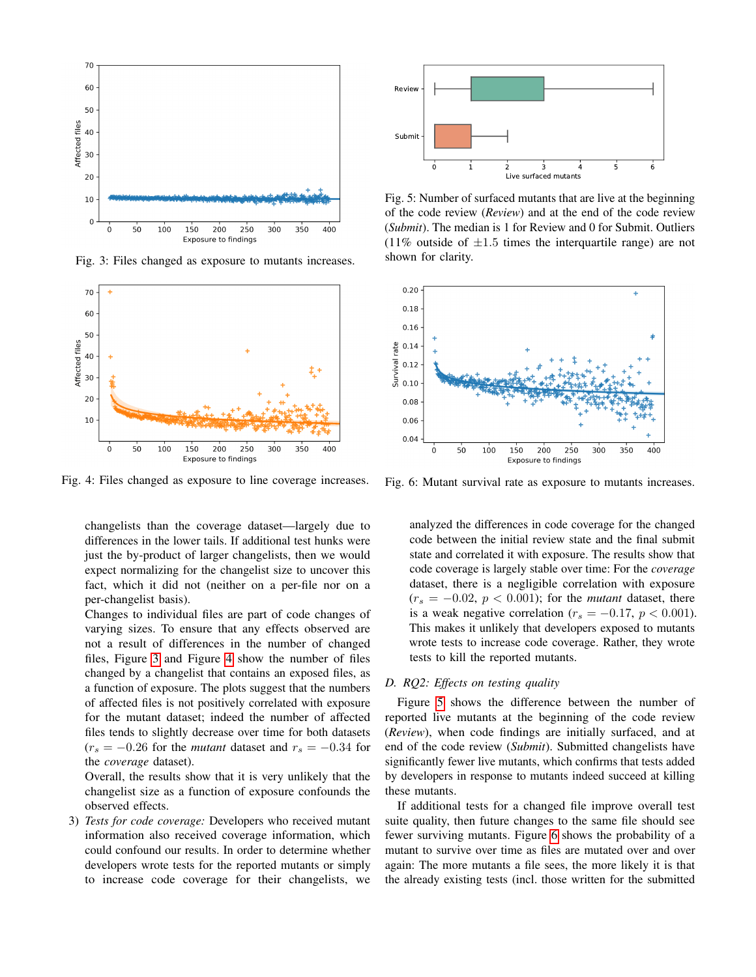<span id="page-4-1"></span>

Fig. 3: Files changed as exposure to mutants increases.



Fig. 4: Files changed as exposure to line coverage increases.

changelists than the coverage dataset—largely due to differences in the lower tails. If additional test hunks were just the by-product of larger changelists, then we would expect normalizing for the changelist size to uncover this fact, which it did not (neither on a per-file nor on a per-changelist basis).

Changes to individual files are part of code changes of varying sizes. To ensure that any effects observed are not a result of differences in the number of changed files, Figure [3](#page-4-1) and Figure [4](#page-4-1) show the number of files changed by a changelist that contains an exposed files, as a function of exposure. The plots suggest that the numbers of affected files is not positively correlated with exposure for the mutant dataset; indeed the number of affected files tends to slightly decrease over time for both datasets  $(r<sub>s</sub> = -0.26$  for the *mutant* dataset and  $r<sub>s</sub> = -0.34$  for the *coverage* dataset).

Overall, the results show that it is very unlikely that the changelist size as a function of exposure confounds the observed effects.

3) *Tests for code coverage:* Developers who received mutant information also received coverage information, which could confound our results. In order to determine whether developers wrote tests for the reported mutants or simply to increase code coverage for their changelists, we

<span id="page-4-2"></span>

Fig. 5: Number of surfaced mutants that are live at the beginning of the code review (*Review*) and at the end of the code review (*Submit*). The median is 1 for Review and 0 for Submit. Outliers (11% outside of  $\pm 1.5$  times the interquartile range) are not shown for clarity.

<span id="page-4-3"></span>

Fig. 6: Mutant survival rate as exposure to mutants increases.

analyzed the differences in code coverage for the changed code between the initial review state and the final submit state and correlated it with exposure. The results show that code coverage is largely stable over time: For the *coverage* dataset, there is a negligible correlation with exposure  $(r_s = -0.02, p < 0.001)$ ; for the *mutant* dataset, there is a weak negative correlation ( $r_s = -0.17$ ,  $p < 0.001$ ). This makes it unlikely that developers exposed to mutants wrote tests to increase code coverage. Rather, they wrote tests to kill the reported mutants.

#### <span id="page-4-0"></span>*D. RQ2: Effects on testing quality*

Figure [5](#page-4-2) shows the difference between the number of reported live mutants at the beginning of the code review (*Review*), when code findings are initially surfaced, and at end of the code review (*Submit*). Submitted changelists have significantly fewer live mutants, which confirms that tests added by developers in response to mutants indeed succeed at killing these mutants.

If additional tests for a changed file improve overall test suite quality, then future changes to the same file should see fewer surviving mutants. Figure [6](#page-4-3) shows the probability of a mutant to survive over time as files are mutated over and over again: The more mutants a file sees, the more likely it is that the already existing tests (incl. those written for the submitted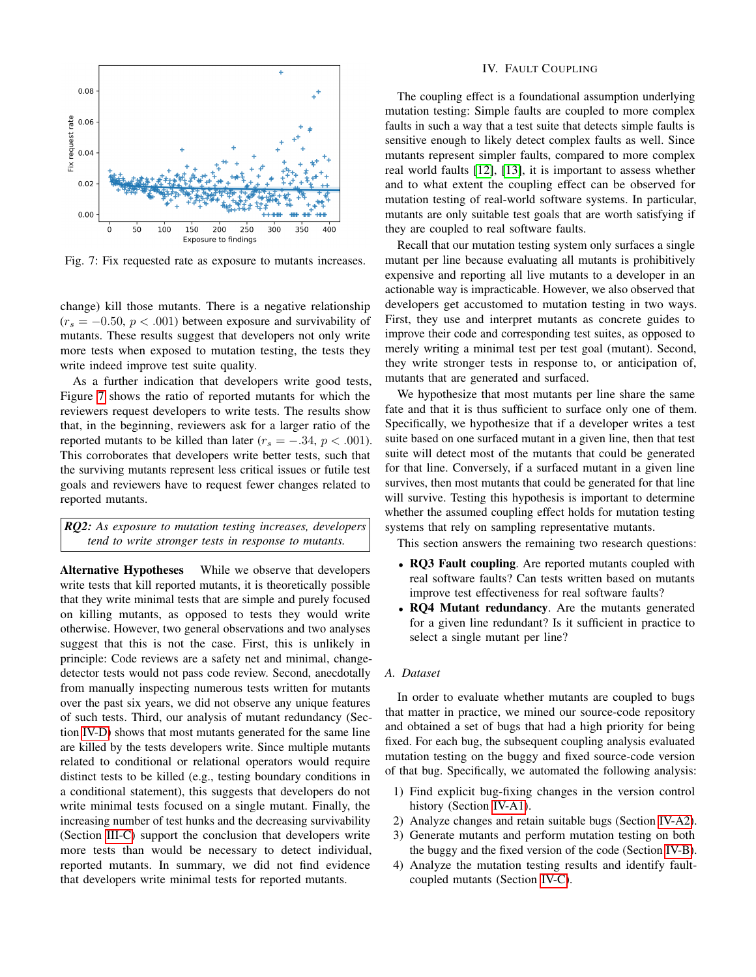<span id="page-5-0"></span>

Fig. 7: Fix requested rate as exposure to mutants increases.

change) kill those mutants. There is a negative relationship  $(r<sub>s</sub> = -0.50, p < .001)$  between exposure and survivability of mutants. These results suggest that developers not only write more tests when exposed to mutation testing, the tests they write indeed improve test suite quality.

As a further indication that developers write good tests, Figure [7](#page-5-0) shows the ratio of reported mutants for which the reviewers request developers to write tests. The results show that, in the beginning, reviewers ask for a larger ratio of the reported mutants to be killed than later ( $r_s = -.34$ ,  $p < .001$ ). This corroborates that developers write better tests, such that the surviving mutants represent less critical issues or futile test goals and reviewers have to request fewer changes related to reported mutants.

*RQ2: As exposure to mutation testing increases, developers tend to write stronger tests in response to mutants.*

Alternative Hypotheses While we observe that developers write tests that kill reported mutants, it is theoretically possible that they write minimal tests that are simple and purely focused on killing mutants, as opposed to tests they would write otherwise. However, two general observations and two analyses suggest that this is not the case. First, this is unlikely in principle: Code reviews are a safety net and minimal, changedetector tests would not pass code review. Second, anecdotally from manually inspecting numerous tests written for mutants over the past six years, we did not observe any unique features of such tests. Third, our analysis of mutant redundancy (Section [IV-D\)](#page-8-0) shows that most mutants generated for the same line are killed by the tests developers write. Since multiple mutants related to conditional or relational operators would require distinct tests to be killed (e.g., testing boundary conditions in a conditional statement), this suggests that developers do not write minimal tests focused on a single mutant. Finally, the increasing number of test hunks and the decreasing survivability (Section [III-C\)](#page-3-0) support the conclusion that developers write more tests than would be necessary to detect individual, reported mutants. In summary, we did not find evidence that developers write minimal tests for reported mutants.

## IV. FAULT COUPLING

The coupling effect is a foundational assumption underlying mutation testing: Simple faults are coupled to more complex faults in such a way that a test suite that detects simple faults is sensitive enough to likely detect complex faults as well. Since mutants represent simpler faults, compared to more complex real world faults [\[12\]](#page-11-10), [\[13\]](#page-11-11), it is important to assess whether and to what extent the coupling effect can be observed for mutation testing of real-world software systems. In particular, mutants are only suitable test goals that are worth satisfying if they are coupled to real software faults.

Recall that our mutation testing system only surfaces a single mutant per line because evaluating all mutants is prohibitively expensive and reporting all live mutants to a developer in an actionable way is impracticable. However, we also observed that developers get accustomed to mutation testing in two ways. First, they use and interpret mutants as concrete guides to improve their code and corresponding test suites, as opposed to merely writing a minimal test per test goal (mutant). Second, they write stronger tests in response to, or anticipation of, mutants that are generated and surfaced.

We hypothesize that most mutants per line share the same fate and that it is thus sufficient to surface only one of them. Specifically, we hypothesize that if a developer writes a test suite based on one surfaced mutant in a given line, then that test suite will detect most of the mutants that could be generated for that line. Conversely, if a surfaced mutant in a given line survives, then most mutants that could be generated for that line will survive. Testing this hypothesis is important to determine whether the assumed coupling effect holds for mutation testing systems that rely on sampling representative mutants.

This section answers the remaining two research questions:

- RQ3 Fault coupling. Are reported mutants coupled with real software faults? Can tests written based on mutants improve test effectiveness for real software faults?
- RQ4 Mutant redundancy. Are the mutants generated for a given line redundant? Is it sufficient in practice to select a single mutant per line?

#### *A. Dataset*

In order to evaluate whether mutants are coupled to bugs that matter in practice, we mined our source-code repository and obtained a set of bugs that had a high priority for being fixed. For each bug, the subsequent coupling analysis evaluated mutation testing on the buggy and fixed source-code version of that bug. Specifically, we automated the following analysis:

- 1) Find explicit bug-fixing changes in the version control history (Section [IV-A1\)](#page-6-0).
- 2) Analyze changes and retain suitable bugs (Section [IV-A2\)](#page-6-1).
- 3) Generate mutants and perform mutation testing on both the buggy and the fixed version of the code (Section [IV-B\)](#page-7-1).
- 4) Analyze the mutation testing results and identify faultcoupled mutants (Section [IV-C\)](#page-7-0).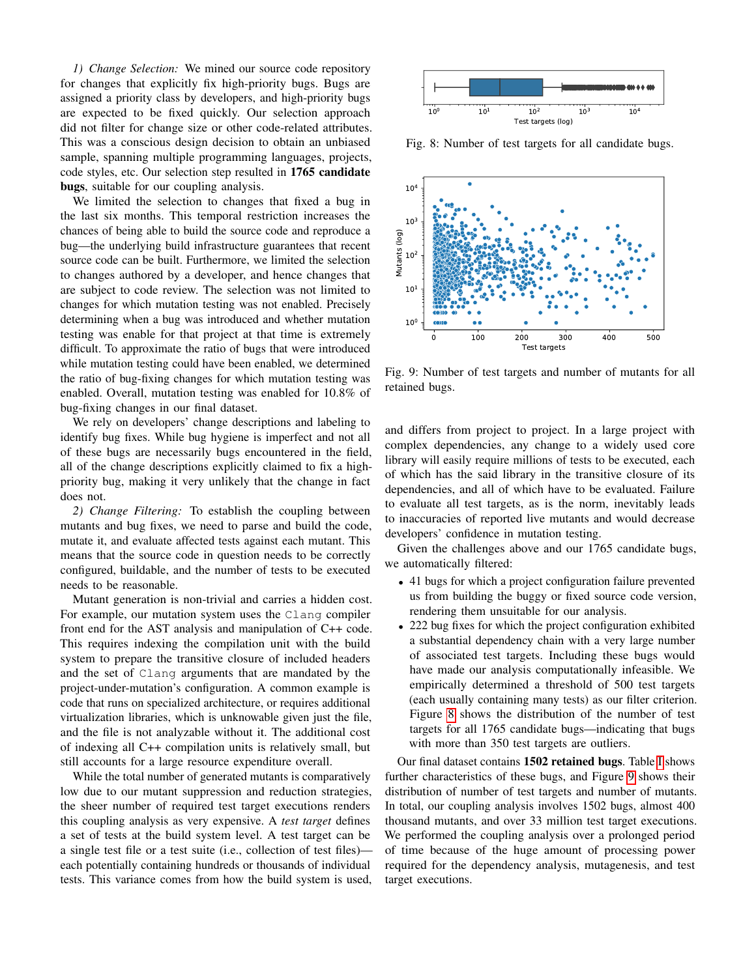<span id="page-6-0"></span>*1) Change Selection:* We mined our source code repository for changes that explicitly fix high-priority bugs. Bugs are assigned a priority class by developers, and high-priority bugs are expected to be fixed quickly. Our selection approach did not filter for change size or other code-related attributes. This was a conscious design decision to obtain an unbiased sample, spanning multiple programming languages, projects, code styles, etc. Our selection step resulted in 1765 candidate bugs, suitable for our coupling analysis.

We limited the selection to changes that fixed a bug in the last six months. This temporal restriction increases the chances of being able to build the source code and reproduce a bug—the underlying build infrastructure guarantees that recent source code can be built. Furthermore, we limited the selection to changes authored by a developer, and hence changes that are subject to code review. The selection was not limited to changes for which mutation testing was not enabled. Precisely determining when a bug was introduced and whether mutation testing was enable for that project at that time is extremely difficult. To approximate the ratio of bugs that were introduced while mutation testing could have been enabled, we determined the ratio of bug-fixing changes for which mutation testing was enabled. Overall, mutation testing was enabled for 10.8% of bug-fixing changes in our final dataset.

We rely on developers' change descriptions and labeling to identify bug fixes. While bug hygiene is imperfect and not all of these bugs are necessarily bugs encountered in the field, all of the change descriptions explicitly claimed to fix a highpriority bug, making it very unlikely that the change in fact does not.

<span id="page-6-1"></span>*2) Change Filtering:* To establish the coupling between mutants and bug fixes, we need to parse and build the code, mutate it, and evaluate affected tests against each mutant. This means that the source code in question needs to be correctly configured, buildable, and the number of tests to be executed needs to be reasonable.

Mutant generation is non-trivial and carries a hidden cost. For example, our mutation system uses the Clang compiler front end for the AST analysis and manipulation of C++ code. This requires indexing the compilation unit with the build system to prepare the transitive closure of included headers and the set of Clang arguments that are mandated by the project-under-mutation's configuration. A common example is code that runs on specialized architecture, or requires additional virtualization libraries, which is unknowable given just the file, and the file is not analyzable without it. The additional cost of indexing all C++ compilation units is relatively small, but still accounts for a large resource expenditure overall.

While the total number of generated mutants is comparatively low due to our mutant suppression and reduction strategies, the sheer number of required test target executions renders this coupling analysis as very expensive. A *test target* defines a set of tests at the build system level. A test target can be a single test file or a test suite (i.e., collection of test files) each potentially containing hundreds or thousands of individual tests. This variance comes from how the build system is used,

<span id="page-6-2"></span>

Fig. 8: Number of test targets for all candidate bugs.



Fig. 9: Number of test targets and number of mutants for all retained bugs.

and differs from project to project. In a large project with complex dependencies, any change to a widely used core library will easily require millions of tests to be executed, each of which has the said library in the transitive closure of its dependencies, and all of which have to be evaluated. Failure to evaluate all test targets, as is the norm, inevitably leads to inaccuracies of reported live mutants and would decrease developers' confidence in mutation testing.

Given the challenges above and our 1765 candidate bugs, we automatically filtered:

- 41 bugs for which a project configuration failure prevented us from building the buggy or fixed source code version, rendering them unsuitable for our analysis.
- 222 bug fixes for which the project configuration exhibited a substantial dependency chain with a very large number of associated test targets. Including these bugs would have made our analysis computationally infeasible. We empirically determined a threshold of 500 test targets (each usually containing many tests) as our filter criterion. Figure [8](#page-6-2) shows the distribution of the number of test targets for all 1765 candidate bugs—indicating that bugs with more than 350 test targets are outliers.

Our final dataset contains 1502 retained bugs. Table [I](#page-7-2) shows further characteristics of these bugs, and Figure [9](#page-6-2) shows their distribution of number of test targets and number of mutants. In total, our coupling analysis involves 1502 bugs, almost 400 thousand mutants, and over 33 million test target executions. We performed the coupling analysis over a prolonged period of time because of the huge amount of processing power required for the dependency analysis, mutagenesis, and test target executions.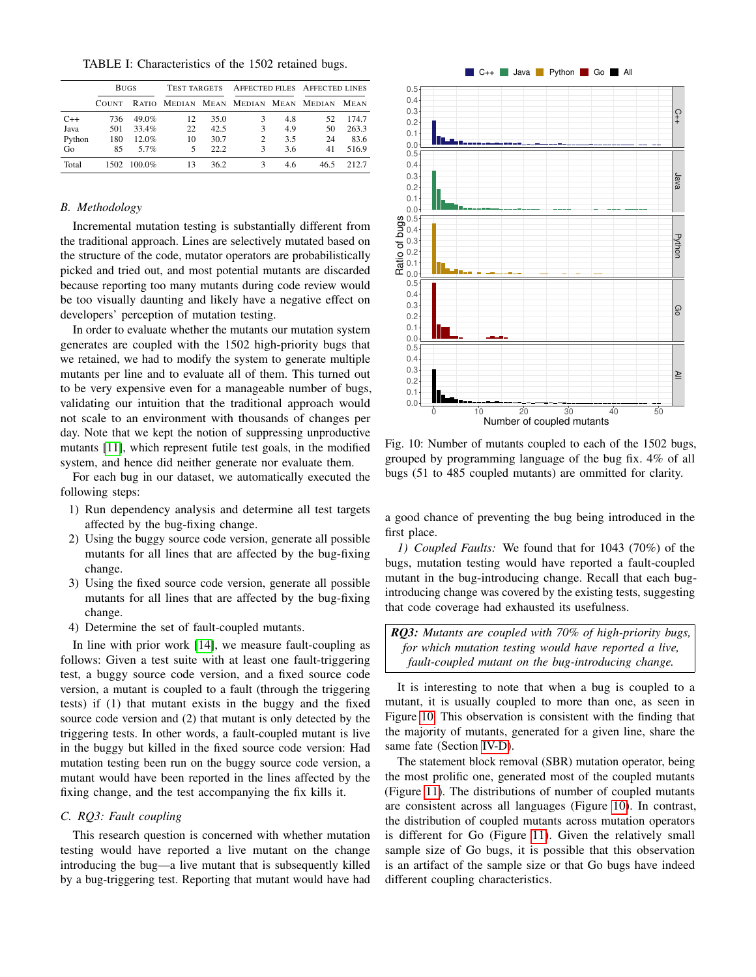<span id="page-7-2"></span>TABLE I: Characteristics of the 1502 retained bugs.

|        | <b>BUGS</b>  |           | <b>TEST TARGETS</b> |      |              |     | AFFECTED FILES AFFECTED LINES             |       |
|--------|--------------|-----------|---------------------|------|--------------|-----|-------------------------------------------|-------|
|        | <b>COUNT</b> |           |                     |      |              |     | RATIO MEDIAN MEAN MEDIAN MEAN MEDIAN MEAN |       |
| $C++$  | 736          | $49.0\%$  | 12                  | 35.0 | 3            | 4.8 | 52                                        | 174.7 |
| Java   | 501          | 33.4%     | 22                  | 42.5 | 3            | 4.9 | 50                                        | 263.3 |
| Python | 180          | $12.0\%$  | 10                  | 30.7 | 2            | 3.5 | 24                                        | 83.6  |
| Go     | 85           | 5.7%      | 5                   | 22.2 | $\mathbf{3}$ | 3.6 | 41                                        | 516.9 |
| Total  | 1502         | $100.0\%$ | 13                  | 36.2 |              | 4.6 | 46.5                                      | 212.7 |

## <span id="page-7-1"></span>*B. Methodology*

Incremental mutation testing is substantially different from the traditional approach. Lines are selectively mutated based on the structure of the code, mutator operators are probabilistically picked and tried out, and most potential mutants are discarded because reporting too many mutants during code review would be too visually daunting and likely have a negative effect on developers' perception of mutation testing.

In order to evaluate whether the mutants our mutation system generates are coupled with the 1502 high-priority bugs that we retained, we had to modify the system to generate multiple mutants per line and to evaluate all of them. This turned out to be very expensive even for a manageable number of bugs, validating our intuition that the traditional approach would not scale to an environment with thousands of changes per day. Note that we kept the notion of suppressing unproductive mutants [\[11\]](#page-11-9), which represent futile test goals, in the modified system, and hence did neither generate nor evaluate them.

For each bug in our dataset, we automatically executed the following steps:

- 1) Run dependency analysis and determine all test targets affected by the bug-fixing change.
- 2) Using the buggy source code version, generate all possible mutants for all lines that are affected by the bug-fixing change.
- 3) Using the fixed source code version, generate all possible mutants for all lines that are affected by the bug-fixing change.
- 4) Determine the set of fault-coupled mutants.

In line with prior work [\[14\]](#page-11-12), we measure fault-coupling as follows: Given a test suite with at least one fault-triggering test, a buggy source code version, and a fixed source code version, a mutant is coupled to a fault (through the triggering tests) if (1) that mutant exists in the buggy and the fixed source code version and (2) that mutant is only detected by the triggering tests. In other words, a fault-coupled mutant is live in the buggy but killed in the fixed source code version: Had mutation testing been run on the buggy source code version, a mutant would have been reported in the lines affected by the fixing change, and the test accompanying the fix kills it.

# <span id="page-7-0"></span>*C. RQ3: Fault coupling*

This research question is concerned with whether mutation testing would have reported a live mutant on the change introducing the bug—a live mutant that is subsequently killed by a bug-triggering test. Reporting that mutant would have had

<span id="page-7-3"></span>

Fig. 10: Number of mutants coupled to each of the 1502 bugs, grouped by programming language of the bug fix. 4% of all bugs (51 to 485 coupled mutants) are ommitted for clarity.

a good chance of preventing the bug being introduced in the first place.

*1) Coupled Faults:* We found that for 1043 (70%) of the bugs, mutation testing would have reported a fault-coupled mutant in the bug-introducing change. Recall that each bugintroducing change was covered by the existing tests, suggesting that code coverage had exhausted its usefulness.

*RQ3: Mutants are coupled with 70% of high-priority bugs, for which mutation testing would have reported a live, fault-coupled mutant on the bug-introducing change.*

It is interesting to note that when a bug is coupled to a mutant, it is usually coupled to more than one, as seen in Figure [10.](#page-7-3) This observation is consistent with the finding that the majority of mutants, generated for a given line, share the same fate (Section [IV-D\)](#page-8-0).

The statement block removal (SBR) mutation operator, being the most prolific one, generated most of the coupled mutants (Figure [11\)](#page-8-1). The distributions of number of coupled mutants are consistent across all languages (Figure [10\)](#page-7-3). In contrast, the distribution of coupled mutants across mutation operators is different for Go (Figure [11\)](#page-8-1). Given the relatively small sample size of Go bugs, it is possible that this observation is an artifact of the sample size or that Go bugs have indeed different coupling characteristics.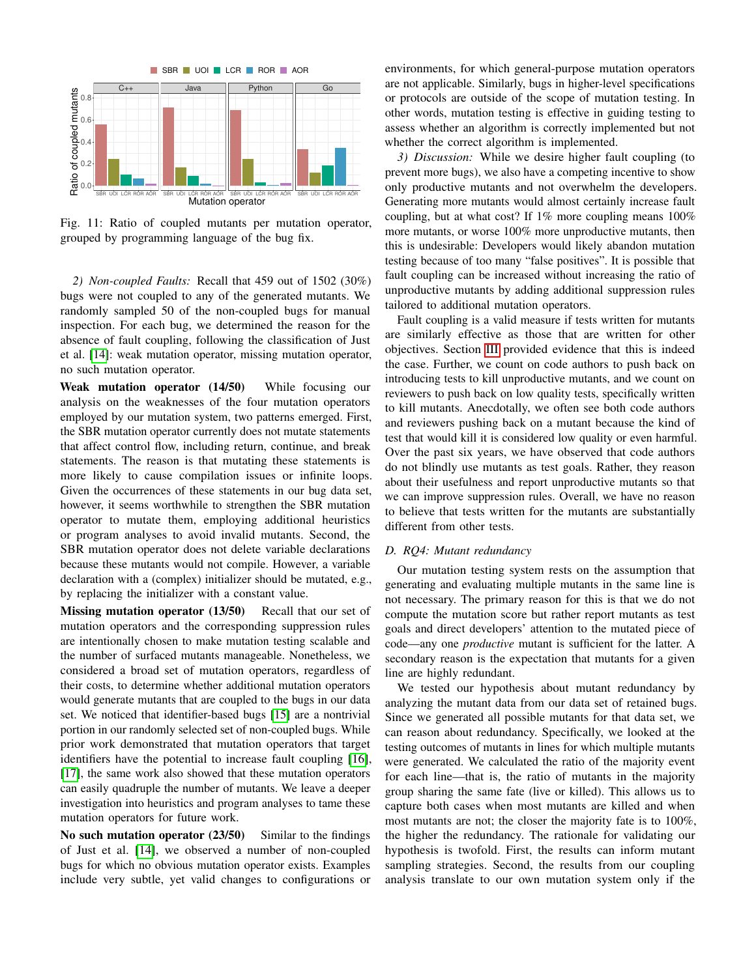<span id="page-8-1"></span>

Fig. 11: Ratio of coupled mutants per mutation operator, grouped by programming language of the bug fix.

*2) Non-coupled Faults:* Recall that 459 out of 1502 (30%) bugs were not coupled to any of the generated mutants. We randomly sampled 50 of the non-coupled bugs for manual inspection. For each bug, we determined the reason for the absence of fault coupling, following the classification of Just et al. [\[14\]](#page-11-12): weak mutation operator, missing mutation operator, no such mutation operator.

Weak mutation operator (14/50) While focusing our analysis on the weaknesses of the four mutation operators employed by our mutation system, two patterns emerged. First, the SBR mutation operator currently does not mutate statements that affect control flow, including return, continue, and break statements. The reason is that mutating these statements is more likely to cause compilation issues or infinite loops. Given the occurrences of these statements in our bug data set, however, it seems worthwhile to strengthen the SBR mutation operator to mutate them, employing additional heuristics or program analyses to avoid invalid mutants. Second, the SBR mutation operator does not delete variable declarations because these mutants would not compile. However, a variable declaration with a (complex) initializer should be mutated, e.g., by replacing the initializer with a constant value.

Missing mutation operator (13/50) Recall that our set of mutation operators and the corresponding suppression rules are intentionally chosen to make mutation testing scalable and the number of surfaced mutants manageable. Nonetheless, we considered a broad set of mutation operators, regardless of their costs, to determine whether additional mutation operators would generate mutants that are coupled to the bugs in our data set. We noticed that identifier-based bugs [\[15\]](#page-11-13) are a nontrivial portion in our randomly selected set of non-coupled bugs. While prior work demonstrated that mutation operators that target identifiers have the potential to increase fault coupling [\[16\]](#page-11-14), [\[17\]](#page-11-15), the same work also showed that these mutation operators can easily quadruple the number of mutants. We leave a deeper investigation into heuristics and program analyses to tame these mutation operators for future work.

No such mutation operator  $(23/50)$  Similar to the findings of Just et al. [\[14\]](#page-11-12), we observed a number of non-coupled bugs for which no obvious mutation operator exists. Examples include very subtle, yet valid changes to configurations or environments, for which general-purpose mutation operators are not applicable. Similarly, bugs in higher-level specifications or protocols are outside of the scope of mutation testing. In other words, mutation testing is effective in guiding testing to assess whether an algorithm is correctly implemented but not whether the correct algorithm is implemented.

*3) Discussion:* While we desire higher fault coupling (to prevent more bugs), we also have a competing incentive to show only productive mutants and not overwhelm the developers. Generating more mutants would almost certainly increase fault coupling, but at what cost? If 1% more coupling means 100% more mutants, or worse 100% more unproductive mutants, then this is undesirable: Developers would likely abandon mutation testing because of too many "false positives". It is possible that fault coupling can be increased without increasing the ratio of unproductive mutants by adding additional suppression rules tailored to additional mutation operators.

Fault coupling is a valid measure if tests written for mutants are similarly effective as those that are written for other objectives. Section [III](#page-2-0) provided evidence that this is indeed the case. Further, we count on code authors to push back on introducing tests to kill unproductive mutants, and we count on reviewers to push back on low quality tests, specifically written to kill mutants. Anecdotally, we often see both code authors and reviewers pushing back on a mutant because the kind of test that would kill it is considered low quality or even harmful. Over the past six years, we have observed that code authors do not blindly use mutants as test goals. Rather, they reason about their usefulness and report unproductive mutants so that we can improve suppression rules. Overall, we have no reason to believe that tests written for the mutants are substantially different from other tests.

## <span id="page-8-0"></span>*D. RQ4: Mutant redundancy*

Our mutation testing system rests on the assumption that generating and evaluating multiple mutants in the same line is not necessary. The primary reason for this is that we do not compute the mutation score but rather report mutants as test goals and direct developers' attention to the mutated piece of code—any one *productive* mutant is sufficient for the latter. A secondary reason is the expectation that mutants for a given line are highly redundant.

We tested our hypothesis about mutant redundancy by analyzing the mutant data from our data set of retained bugs. Since we generated all possible mutants for that data set, we can reason about redundancy. Specifically, we looked at the testing outcomes of mutants in lines for which multiple mutants were generated. We calculated the ratio of the majority event for each line—that is, the ratio of mutants in the majority group sharing the same fate (live or killed). This allows us to capture both cases when most mutants are killed and when most mutants are not; the closer the majority fate is to 100%, the higher the redundancy. The rationale for validating our hypothesis is twofold. First, the results can inform mutant sampling strategies. Second, the results from our coupling analysis translate to our own mutation system only if the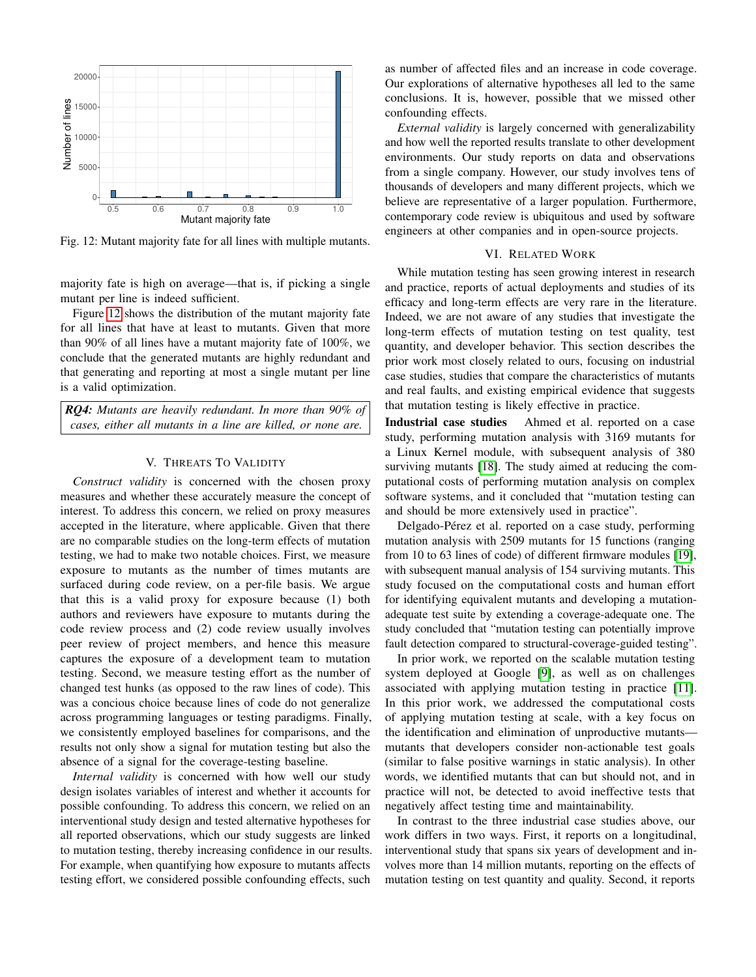<span id="page-9-0"></span>

Fig. 12: Mutant majority fate for all lines with multiple mutants.

majority fate is high on average—that is, if picking a single mutant per line is indeed sufficient.

Figure [12](#page-9-0) shows the distribution of the mutant majority fate for all lines that have at least to mutants. Given that more than 90% of all lines have a mutant majority fate of 100%, we conclude that the generated mutants are highly redundant and that generating and reporting at most a single mutant per line is a valid optimization.

*RQ4: Mutants are heavily redundant. In more than 90% of cases, either all mutants in a line are killed, or none are.*

# V. THREATS TO VALIDITY

*Construct validity* is concerned with the chosen proxy measures and whether these accurately measure the concept of interest. To address this concern, we relied on proxy measures accepted in the literature, where applicable. Given that there are no comparable studies on the long-term effects of mutation testing, we had to make two notable choices. First, we measure exposure to mutants as the number of times mutants are surfaced during code review, on a per-file basis. We argue that this is a valid proxy for exposure because (1) both authors and reviewers have exposure to mutants during the code review process and (2) code review usually involves peer review of project members, and hence this measure captures the exposure of a development team to mutation testing. Second, we measure testing effort as the number of changed test hunks (as opposed to the raw lines of code). This was a concious choice because lines of code do not generalize across programming languages or testing paradigms. Finally, we consistently employed baselines for comparisons, and the results not only show a signal for mutation testing but also the absence of a signal for the coverage-testing baseline.

*Internal validity* is concerned with how well our study design isolates variables of interest and whether it accounts for possible confounding. To address this concern, we relied on an interventional study design and tested alternative hypotheses for all reported observations, which our study suggests are linked to mutation testing, thereby increasing confidence in our results. For example, when quantifying how exposure to mutants affects testing effort, we considered possible confounding effects, such

as number of affected files and an increase in code coverage. Our explorations of alternative hypotheses all led to the same conclusions. It is, however, possible that we missed other confounding effects.

*External validity* is largely concerned with generalizability and how well the reported results translate to other development environments. Our study reports on data and observations from a single company. However, our study involves tens of thousands of developers and many different projects, which we believe are representative of a larger population. Furthermore, contemporary code review is ubiquitous and used by software engineers at other companies and in open-source projects.

## VI. RELATED WORK

While mutation testing has seen growing interest in research and practice, reports of actual deployments and studies of its efficacy and long-term effects are very rare in the literature. Indeed, we are not aware of any studies that investigate the long-term effects of mutation testing on test quality, test quantity, and developer behavior. This section describes the prior work most closely related to ours, focusing on industrial case studies, studies that compare the characteristics of mutants and real faults, and existing empirical evidence that suggests that mutation testing is likely effective in practice.

Industrial case studies Ahmed et al. reported on a case study, performing mutation analysis with 3169 mutants for a Linux Kernel module, with subsequent analysis of 380 surviving mutants [\[18\]](#page-11-16). The study aimed at reducing the computational costs of performing mutation analysis on complex software systems, and it concluded that "mutation testing can and should be more extensively used in practice".

Delgado-Pérez et al. reported on a case study, performing mutation analysis with 2509 mutants for 15 functions (ranging from 10 to 63 lines of code) of different firmware modules [\[19\]](#page-11-17), with subsequent manual analysis of 154 surviving mutants. This study focused on the computational costs and human effort for identifying equivalent mutants and developing a mutationadequate test suite by extending a coverage-adequate one. The study concluded that "mutation testing can potentially improve fault detection compared to structural-coverage-guided testing".

In prior work, we reported on the scalable mutation testing system deployed at Google [\[9\]](#page-11-7), as well as on challenges associated with applying mutation testing in practice [\[11\]](#page-11-9). In this prior work, we addressed the computational costs of applying mutation testing at scale, with a key focus on the identification and elimination of unproductive mutants mutants that developers consider non-actionable test goals (similar to false positive warnings in static analysis). In other words, we identified mutants that can but should not, and in practice will not, be detected to avoid ineffective tests that negatively affect testing time and maintainability.

In contrast to the three industrial case studies above, our work differs in two ways. First, it reports on a longitudinal, interventional study that spans six years of development and involves more than 14 million mutants, reporting on the effects of mutation testing on test quantity and quality. Second, it reports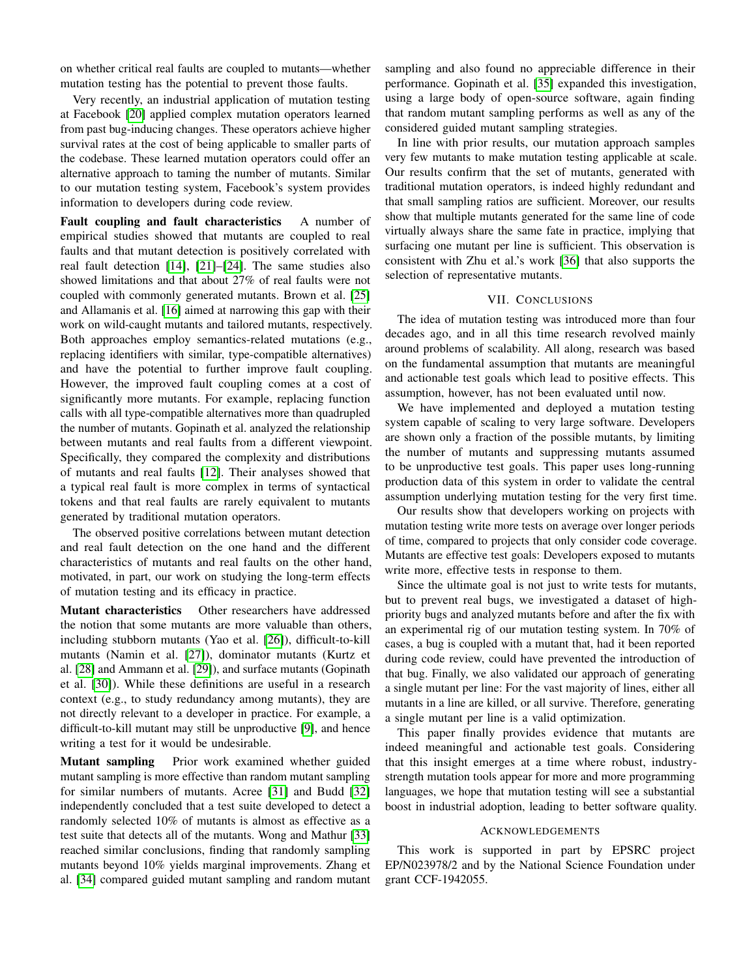on whether critical real faults are coupled to mutants—whether mutation testing has the potential to prevent those faults.

Very recently, an industrial application of mutation testing at Facebook [\[20\]](#page-11-18) applied complex mutation operators learned from past bug-inducing changes. These operators achieve higher survival rates at the cost of being applicable to smaller parts of the codebase. These learned mutation operators could offer an alternative approach to taming the number of mutants. Similar to our mutation testing system, Facebook's system provides information to developers during code review.

Fault coupling and fault characteristics A number of empirical studies showed that mutants are coupled to real faults and that mutant detection is positively correlated with real fault detection [\[14\]](#page-11-12), [\[21\]](#page-11-19)–[\[24\]](#page-11-20). The same studies also showed limitations and that about 27% of real faults were not coupled with commonly generated mutants. Brown et al. [\[25\]](#page-11-21) and Allamanis et al. [\[16\]](#page-11-14) aimed at narrowing this gap with their work on wild-caught mutants and tailored mutants, respectively. Both approaches employ semantics-related mutations (e.g., replacing identifiers with similar, type-compatible alternatives) and have the potential to further improve fault coupling. However, the improved fault coupling comes at a cost of significantly more mutants. For example, replacing function calls with all type-compatible alternatives more than quadrupled the number of mutants. Gopinath et al. analyzed the relationship between mutants and real faults from a different viewpoint. Specifically, they compared the complexity and distributions of mutants and real faults [\[12\]](#page-11-10). Their analyses showed that a typical real fault is more complex in terms of syntactical tokens and that real faults are rarely equivalent to mutants generated by traditional mutation operators.

The observed positive correlations between mutant detection and real fault detection on the one hand and the different characteristics of mutants and real faults on the other hand, motivated, in part, our work on studying the long-term effects of mutation testing and its efficacy in practice.

Mutant characteristics Other researchers have addressed the notion that some mutants are more valuable than others, including stubborn mutants (Yao et al. [\[26\]](#page-11-22)), difficult-to-kill mutants (Namin et al. [\[27\]](#page-11-23)), dominator mutants (Kurtz et al. [\[28\]](#page-11-24) and Ammann et al. [\[29\]](#page-11-25)), and surface mutants (Gopinath et al. [\[30\]](#page-11-26)). While these definitions are useful in a research context (e.g., to study redundancy among mutants), they are not directly relevant to a developer in practice. For example, a difficult-to-kill mutant may still be unproductive [\[9\]](#page-11-7), and hence writing a test for it would be undesirable.

Mutant sampling Prior work examined whether guided mutant sampling is more effective than random mutant sampling for similar numbers of mutants. Acree [\[31\]](#page-11-27) and Budd [\[32\]](#page-11-28) independently concluded that a test suite developed to detect a randomly selected 10% of mutants is almost as effective as a test suite that detects all of the mutants. Wong and Mathur [\[33\]](#page-11-29) reached similar conclusions, finding that randomly sampling mutants beyond 10% yields marginal improvements. Zhang et al. [\[34\]](#page-11-30) compared guided mutant sampling and random mutant sampling and also found no appreciable difference in their performance. Gopinath et al. [\[35\]](#page-11-31) expanded this investigation, using a large body of open-source software, again finding that random mutant sampling performs as well as any of the considered guided mutant sampling strategies.

In line with prior results, our mutation approach samples very few mutants to make mutation testing applicable at scale. Our results confirm that the set of mutants, generated with traditional mutation operators, is indeed highly redundant and that small sampling ratios are sufficient. Moreover, our results show that multiple mutants generated for the same line of code virtually always share the same fate in practice, implying that surfacing one mutant per line is sufficient. This observation is consistent with Zhu et al.'s work [\[36\]](#page-11-32) that also supports the selection of representative mutants.

# VII. CONCLUSIONS

The idea of mutation testing was introduced more than four decades ago, and in all this time research revolved mainly around problems of scalability. All along, research was based on the fundamental assumption that mutants are meaningful and actionable test goals which lead to positive effects. This assumption, however, has not been evaluated until now.

We have implemented and deployed a mutation testing system capable of scaling to very large software. Developers are shown only a fraction of the possible mutants, by limiting the number of mutants and suppressing mutants assumed to be unproductive test goals. This paper uses long-running production data of this system in order to validate the central assumption underlying mutation testing for the very first time.

Our results show that developers working on projects with mutation testing write more tests on average over longer periods of time, compared to projects that only consider code coverage. Mutants are effective test goals: Developers exposed to mutants write more, effective tests in response to them.

Since the ultimate goal is not just to write tests for mutants, but to prevent real bugs, we investigated a dataset of highpriority bugs and analyzed mutants before and after the fix with an experimental rig of our mutation testing system. In 70% of cases, a bug is coupled with a mutant that, had it been reported during code review, could have prevented the introduction of that bug. Finally, we also validated our approach of generating a single mutant per line: For the vast majority of lines, either all mutants in a line are killed, or all survive. Therefore, generating a single mutant per line is a valid optimization.

This paper finally provides evidence that mutants are indeed meaningful and actionable test goals. Considering that this insight emerges at a time where robust, industrystrength mutation tools appear for more and more programming languages, we hope that mutation testing will see a substantial boost in industrial adoption, leading to better software quality.

#### **ACKNOWLEDGEMENTS**

This work is supported in part by EPSRC project EP/N023978/2 and by the National Science Foundation under grant CCF-1942055.